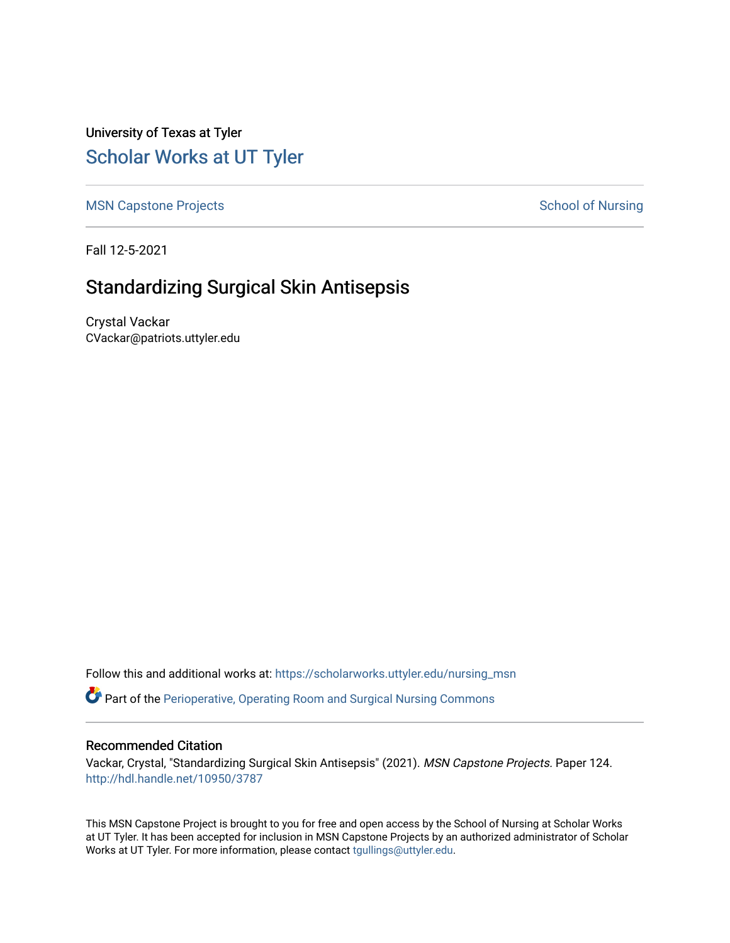University of Texas at Tyler [Scholar Works at UT Tyler](https://scholarworks.uttyler.edu/) 

[MSN Capstone Projects](https://scholarworks.uttyler.edu/nursing_msn) **School of Nursing** School of Nursing

Fall 12-5-2021

# Standardizing Surgical Skin Antisepsis

Crystal Vackar CVackar@patriots.uttyler.edu

Follow this and additional works at: [https://scholarworks.uttyler.edu/nursing\\_msn](https://scholarworks.uttyler.edu/nursing_msn?utm_source=scholarworks.uttyler.edu%2Fnursing_msn%2F124&utm_medium=PDF&utm_campaign=PDFCoverPages)

Part of the [Perioperative, Operating Room and Surgical Nursing Commons](http://network.bepress.com/hgg/discipline/726?utm_source=scholarworks.uttyler.edu%2Fnursing_msn%2F124&utm_medium=PDF&utm_campaign=PDFCoverPages)

### Recommended Citation

Vackar, Crystal, "Standardizing Surgical Skin Antisepsis" (2021). MSN Capstone Projects. Paper 124. [http://hdl.handle.net/10950/3787](http://hdl.handle.net/10950/3787?utm_source=scholarworks.uttyler.edu%2Fnursing_msn%2F124&utm_medium=PDF&utm_campaign=PDFCoverPages) 

This MSN Capstone Project is brought to you for free and open access by the School of Nursing at Scholar Works at UT Tyler. It has been accepted for inclusion in MSN Capstone Projects by an authorized administrator of Scholar Works at UT Tyler. For more information, please contact [tgullings@uttyler.edu](mailto:tgullings@uttyler.edu).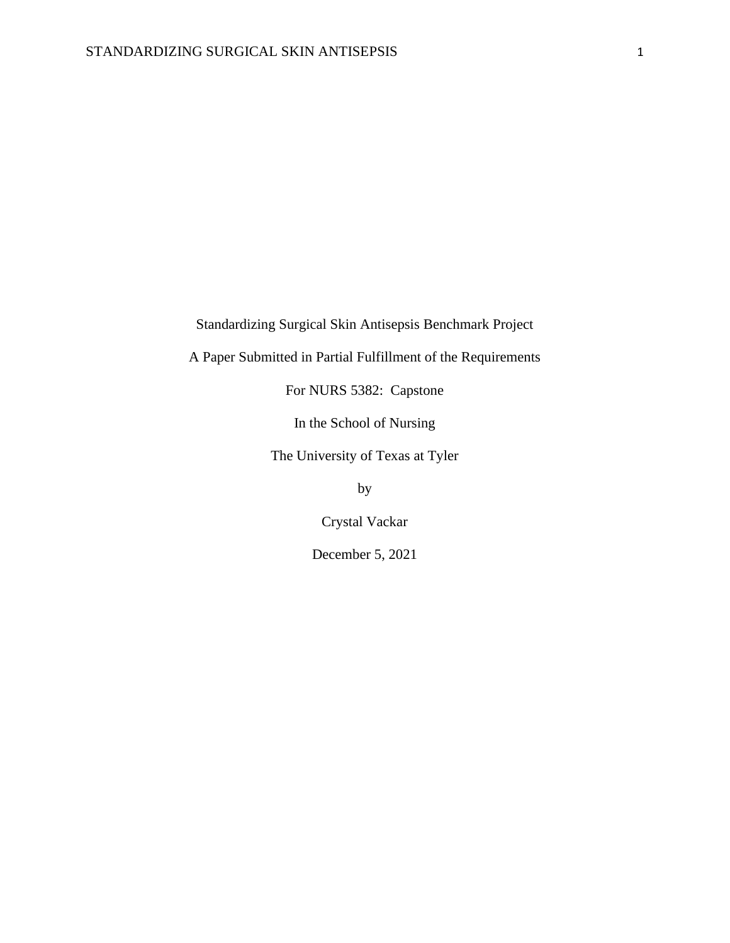Standardizing Surgical Skin Antisepsis Benchmark Project

A Paper Submitted in Partial Fulfillment of the Requirements

For NURS 5382: Capstone

In the School of Nursing

The University of Texas at Tyler

by

Crystal Vackar

December 5, 2021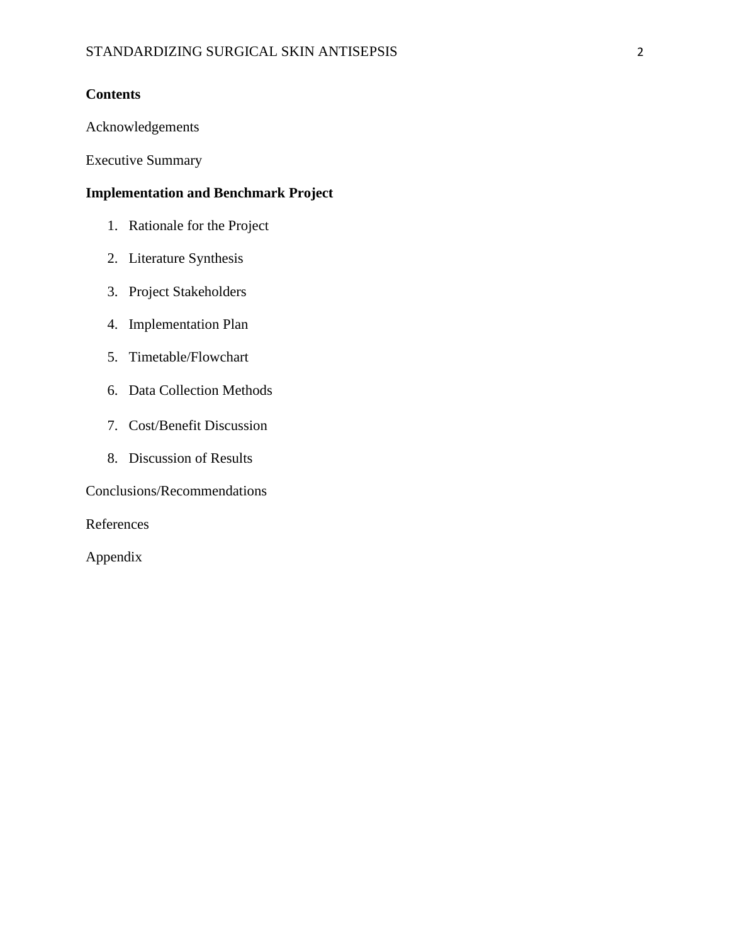## **Contents**

Acknowledgements

Executive Summary

## **Implementation and Benchmark Project**

- 1. Rationale for the Project
- 2. Literature Synthesis
- 3. Project Stakeholders
- 4. Implementation Plan
- 5. Timetable/Flowchart
- 6. Data Collection Methods
- 7. Cost/Benefit Discussion
- 8. Discussion of Results

Conclusions/Recommendations

References

Appendix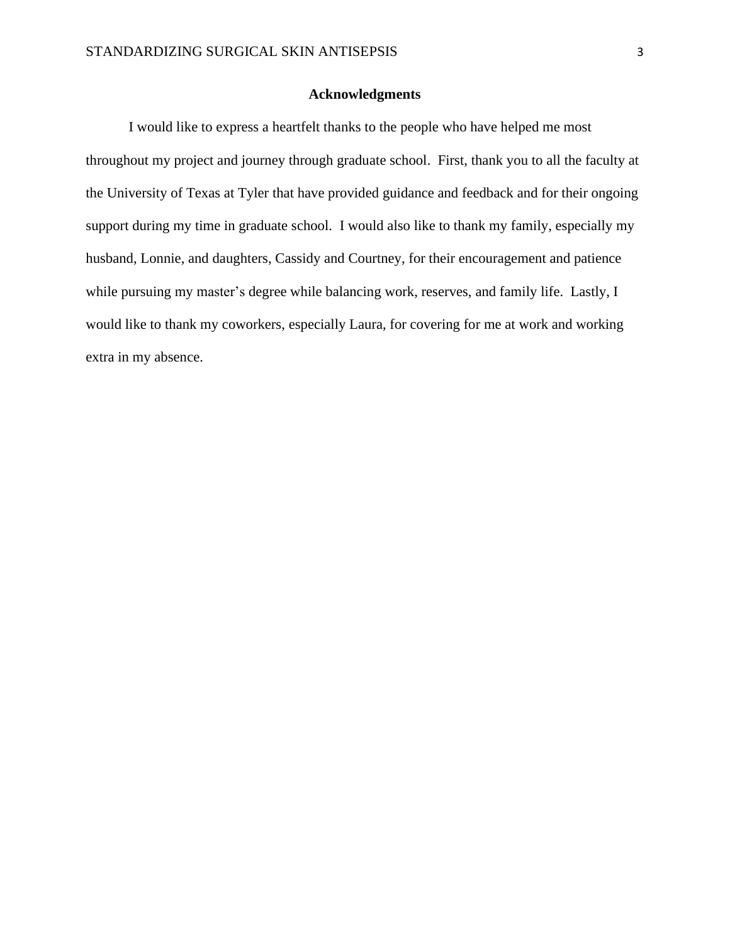#### **Acknowledgments**

I would like to express a heartfelt thanks to the people who have helped me most throughout my project and journey through graduate school. First, thank you to all the faculty at the University of Texas at Tyler that have provided guidance and feedback and for their ongoing support during my time in graduate school. I would also like to thank my family, especially my husband, Lonnie, and daughters, Cassidy and Courtney, for their encouragement and patience while pursuing my master's degree while balancing work, reserves, and family life. Lastly, I would like to thank my coworkers, especially Laura, for covering for me at work and working extra in my absence.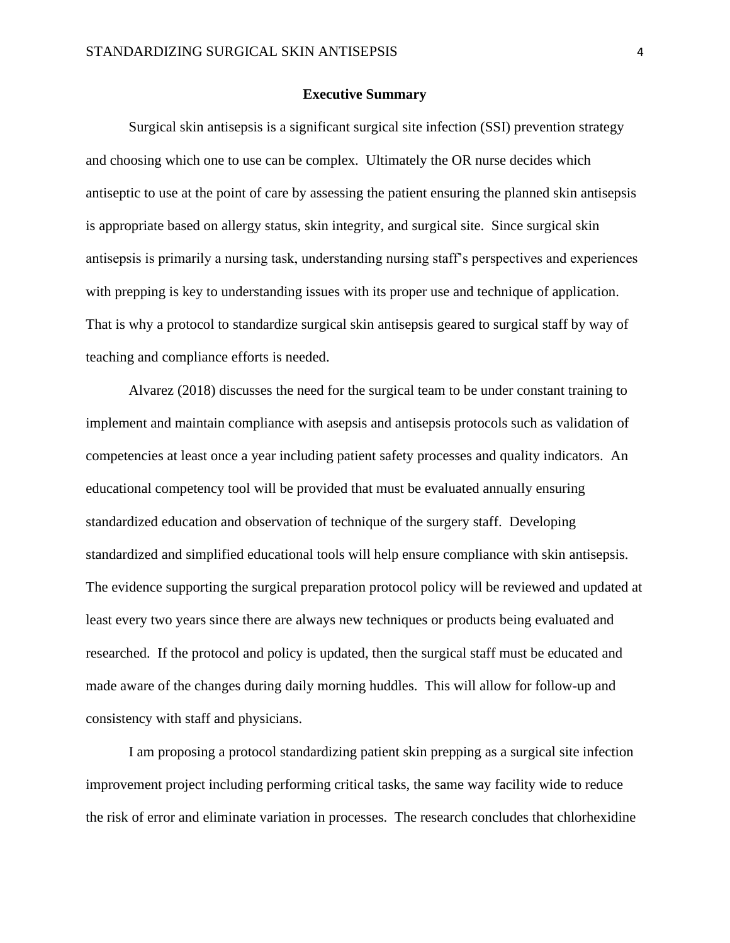#### **Executive Summary**

Surgical skin antisepsis is a significant surgical site infection (SSI) prevention strategy and choosing which one to use can be complex. Ultimately the OR nurse decides which antiseptic to use at the point of care by assessing the patient ensuring the planned skin antisepsis is appropriate based on allergy status, skin integrity, and surgical site. Since surgical skin antisepsis is primarily a nursing task, understanding nursing staff's perspectives and experiences with prepping is key to understanding issues with its proper use and technique of application. That is why a protocol to standardize surgical skin antisepsis geared to surgical staff by way of teaching and compliance efforts is needed.

Alvarez (2018) discusses the need for the surgical team to be under constant training to implement and maintain compliance with asepsis and antisepsis protocols such as validation of competencies at least once a year including patient safety processes and quality indicators. An educational competency tool will be provided that must be evaluated annually ensuring standardized education and observation of technique of the surgery staff. Developing standardized and simplified educational tools will help ensure compliance with skin antisepsis. The evidence supporting the surgical preparation protocol policy will be reviewed and updated at least every two years since there are always new techniques or products being evaluated and researched. If the protocol and policy is updated, then the surgical staff must be educated and made aware of the changes during daily morning huddles. This will allow for follow-up and consistency with staff and physicians.

I am proposing a protocol standardizing patient skin prepping as a surgical site infection improvement project including performing critical tasks, the same way facility wide to reduce the risk of error and eliminate variation in processes. The research concludes that chlorhexidine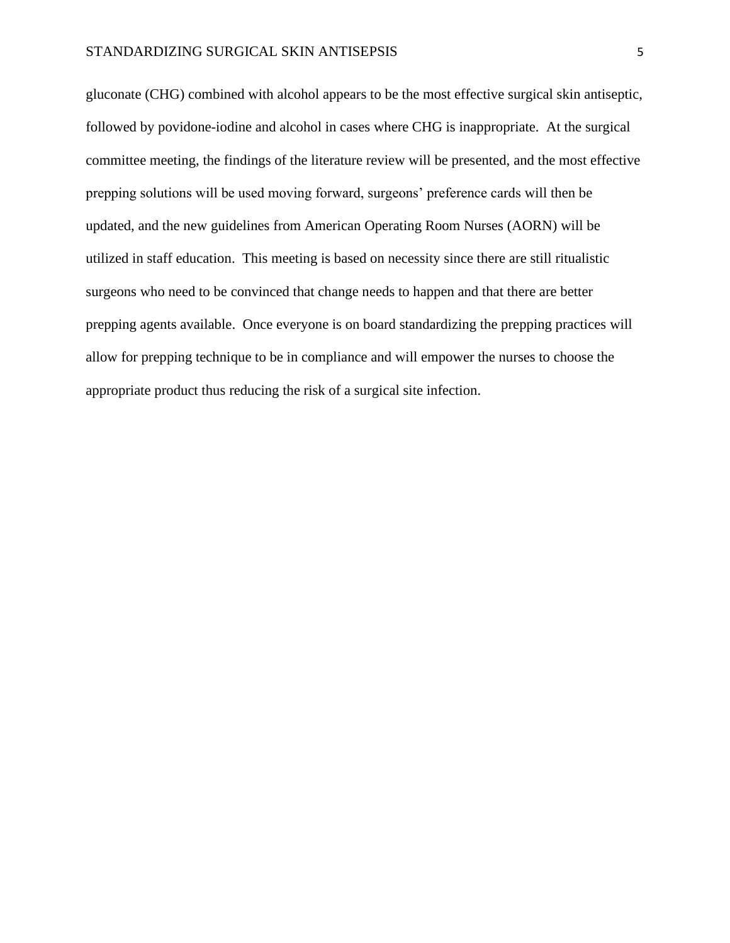#### STANDARDIZING SURGICAL SKIN ANTISEPSIS 5

gluconate (CHG) combined with alcohol appears to be the most effective surgical skin antiseptic, followed by povidone-iodine and alcohol in cases where CHG is inappropriate. At the surgical committee meeting, the findings of the literature review will be presented, and the most effective prepping solutions will be used moving forward, surgeons' preference cards will then be updated, and the new guidelines from American Operating Room Nurses (AORN) will be utilized in staff education. This meeting is based on necessity since there are still ritualistic surgeons who need to be convinced that change needs to happen and that there are better prepping agents available. Once everyone is on board standardizing the prepping practices will allow for prepping technique to be in compliance and will empower the nurses to choose the appropriate product thus reducing the risk of a surgical site infection.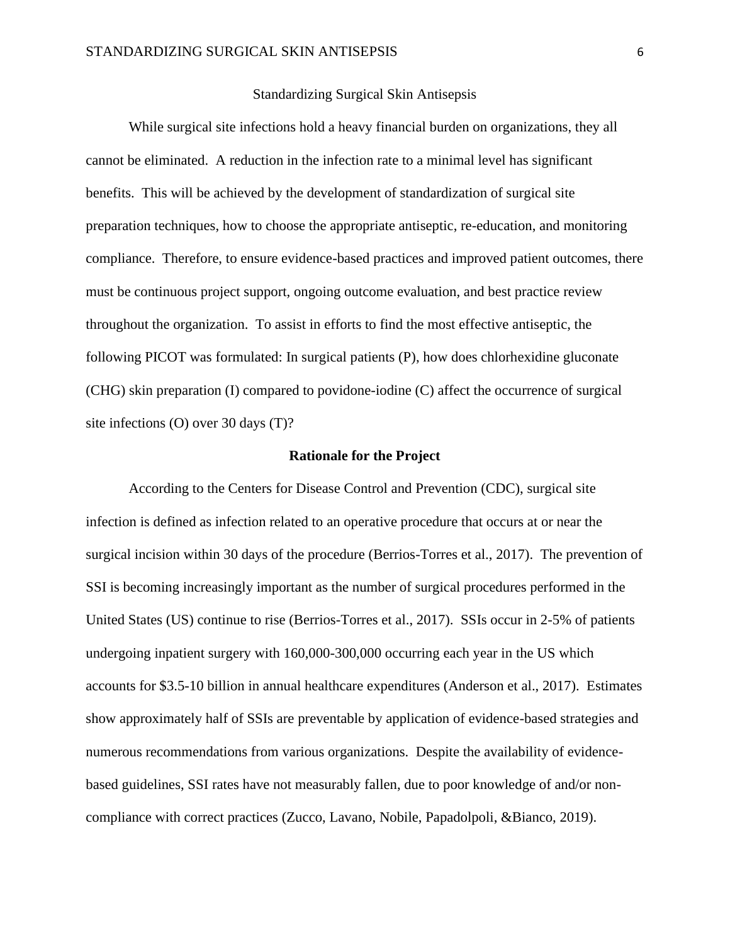#### Standardizing Surgical Skin Antisepsis

While surgical site infections hold a heavy financial burden on organizations, they all cannot be eliminated. A reduction in the infection rate to a minimal level has significant benefits. This will be achieved by the development of standardization of surgical site preparation techniques, how to choose the appropriate antiseptic, re-education, and monitoring compliance. Therefore, to ensure evidence-based practices and improved patient outcomes, there must be continuous project support, ongoing outcome evaluation, and best practice review throughout the organization. To assist in efforts to find the most effective antiseptic, the following PICOT was formulated: In surgical patients (P), how does chlorhexidine gluconate (CHG) skin preparation (I) compared to povidone-iodine (C) affect the occurrence of surgical site infections (O) over 30 days (T)?

#### **Rationale for the Project**

According to the Centers for Disease Control and Prevention (CDC), surgical site infection is defined as infection related to an operative procedure that occurs at or near the surgical incision within 30 days of the procedure (Berrios-Torres et al., 2017). The prevention of SSI is becoming increasingly important as the number of surgical procedures performed in the United States (US) continue to rise (Berrios-Torres et al., 2017). SSIs occur in 2-5% of patients undergoing inpatient surgery with 160,000-300,000 occurring each year in the US which accounts for \$3.5-10 billion in annual healthcare expenditures (Anderson et al., 2017). Estimates show approximately half of SSIs are preventable by application of evidence-based strategies and numerous recommendations from various organizations. Despite the availability of evidencebased guidelines, SSI rates have not measurably fallen, due to poor knowledge of and/or noncompliance with correct practices (Zucco, Lavano, Nobile, Papadolpoli, &Bianco, 2019).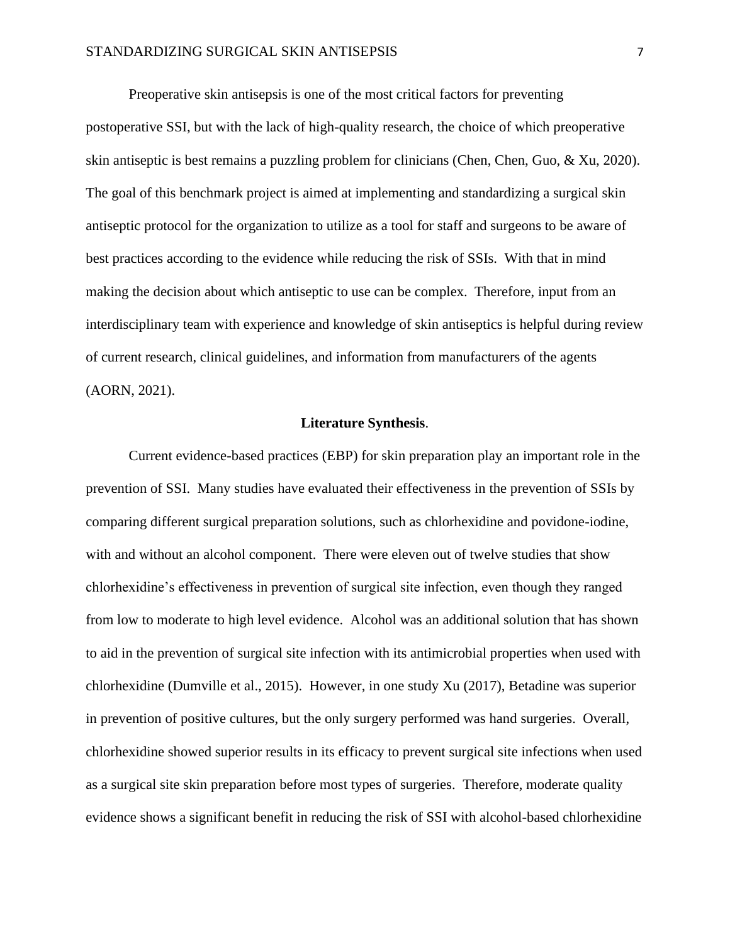Preoperative skin antisepsis is one of the most critical factors for preventing postoperative SSI, but with the lack of high-quality research, the choice of which preoperative skin antiseptic is best remains a puzzling problem for clinicians (Chen, Chen, Guo, & Xu, 2020). The goal of this benchmark project is aimed at implementing and standardizing a surgical skin antiseptic protocol for the organization to utilize as a tool for staff and surgeons to be aware of best practices according to the evidence while reducing the risk of SSIs. With that in mind making the decision about which antiseptic to use can be complex. Therefore, input from an interdisciplinary team with experience and knowledge of skin antiseptics is helpful during review of current research, clinical guidelines, and information from manufacturers of the agents (AORN, 2021).

#### **Literature Synthesis**.

Current evidence-based practices (EBP) for skin preparation play an important role in the prevention of SSI. Many studies have evaluated their effectiveness in the prevention of SSIs by comparing different surgical preparation solutions, such as chlorhexidine and povidone-iodine, with and without an alcohol component. There were eleven out of twelve studies that show chlorhexidine's effectiveness in prevention of surgical site infection, even though they ranged from low to moderate to high level evidence. Alcohol was an additional solution that has shown to aid in the prevention of surgical site infection with its antimicrobial properties when used with chlorhexidine (Dumville et al., 2015). However, in one study Xu (2017), Betadine was superior in prevention of positive cultures, but the only surgery performed was hand surgeries. Overall, chlorhexidine showed superior results in its efficacy to prevent surgical site infections when used as a surgical site skin preparation before most types of surgeries. Therefore, moderate quality evidence shows a significant benefit in reducing the risk of SSI with alcohol-based chlorhexidine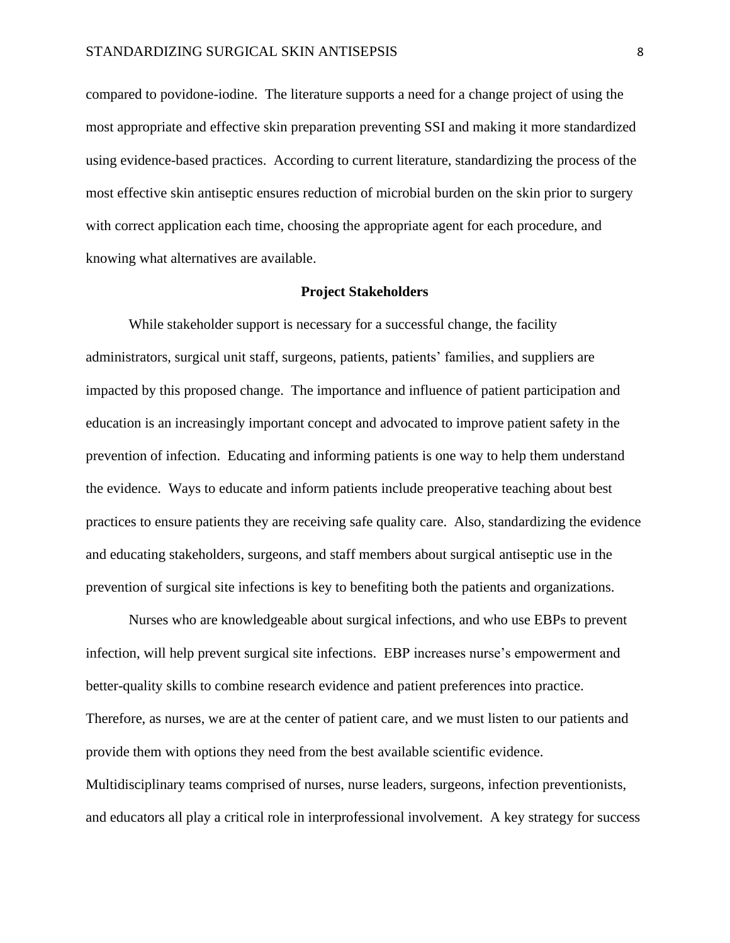compared to povidone-iodine. The literature supports a need for a change project of using the most appropriate and effective skin preparation preventing SSI and making it more standardized using evidence-based practices. According to current literature, standardizing the process of the most effective skin antiseptic ensures reduction of microbial burden on the skin prior to surgery with correct application each time, choosing the appropriate agent for each procedure, and knowing what alternatives are available.

#### **Project Stakeholders**

While stakeholder support is necessary for a successful change, the facility administrators, surgical unit staff, surgeons, patients, patients' families, and suppliers are impacted by this proposed change. The importance and influence of patient participation and education is an increasingly important concept and advocated to improve patient safety in the prevention of infection. Educating and informing patients is one way to help them understand the evidence. Ways to educate and inform patients include preoperative teaching about best practices to ensure patients they are receiving safe quality care. Also, standardizing the evidence and educating stakeholders, surgeons, and staff members about surgical antiseptic use in the prevention of surgical site infections is key to benefiting both the patients and organizations.

Nurses who are knowledgeable about surgical infections, and who use EBPs to prevent infection, will help prevent surgical site infections. EBP increases nurse's empowerment and better-quality skills to combine research evidence and patient preferences into practice. Therefore, as nurses, we are at the center of patient care, and we must listen to our patients and provide them with options they need from the best available scientific evidence. Multidisciplinary teams comprised of nurses, nurse leaders, surgeons, infection preventionists, and educators all play a critical role in interprofessional involvement. A key strategy for success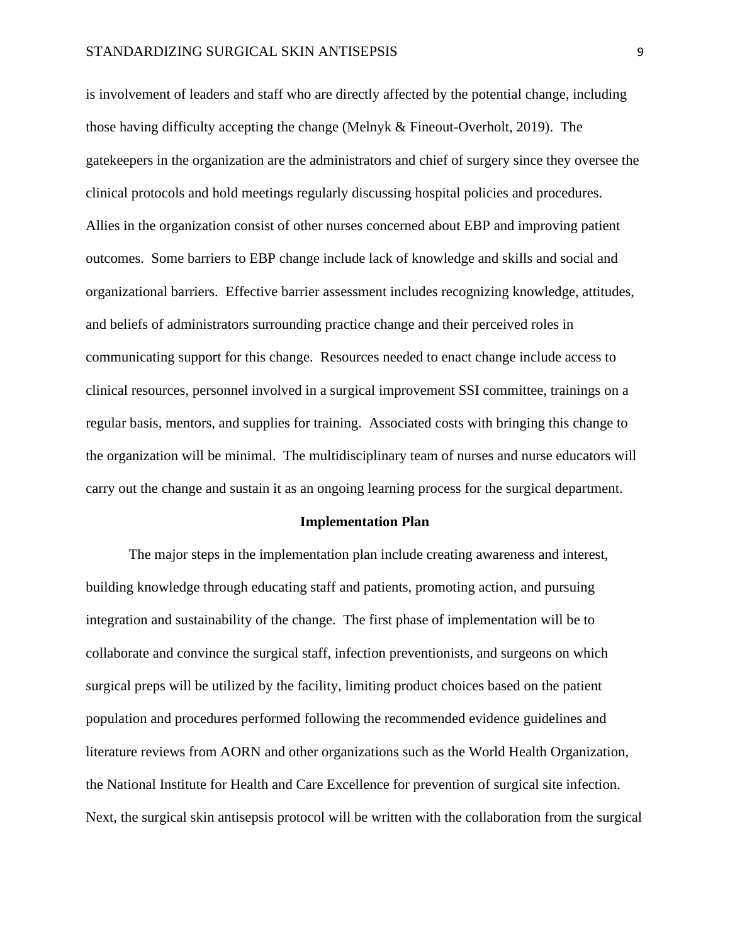is involvement of leaders and staff who are directly affected by the potential change, including those having difficulty accepting the change (Melnyk & Fineout-Overholt, 2019). The gatekeepers in the organization are the administrators and chief of surgery since they oversee the clinical protocols and hold meetings regularly discussing hospital policies and procedures. Allies in the organization consist of other nurses concerned about EBP and improving patient outcomes. Some barriers to EBP change include lack of knowledge and skills and social and organizational barriers. Effective barrier assessment includes recognizing knowledge, attitudes, and beliefs of administrators surrounding practice change and their perceived roles in communicating support for this change. Resources needed to enact change include access to clinical resources, personnel involved in a surgical improvement SSI committee, trainings on a regular basis, mentors, and supplies for training. Associated costs with bringing this change to the organization will be minimal. The multidisciplinary team of nurses and nurse educators will carry out the change and sustain it as an ongoing learning process for the surgical department.

#### **Implementation Plan**

The major steps in the implementation plan include creating awareness and interest, building knowledge through educating staff and patients, promoting action, and pursuing integration and sustainability of the change. The first phase of implementation will be to collaborate and convince the surgical staff, infection preventionists, and surgeons on which surgical preps will be utilized by the facility, limiting product choices based on the patient population and procedures performed following the recommended evidence guidelines and literature reviews from AORN and other organizations such as the World Health Organization, the National Institute for Health and Care Excellence for prevention of surgical site infection. Next, the surgical skin antisepsis protocol will be written with the collaboration from the surgical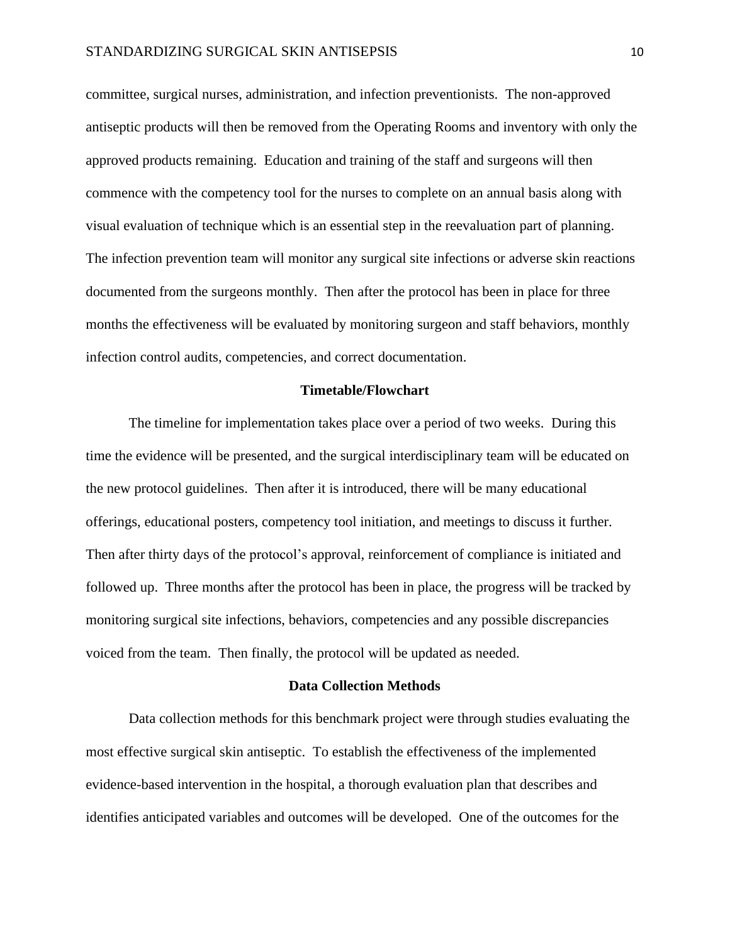committee, surgical nurses, administration, and infection preventionists. The non-approved antiseptic products will then be removed from the Operating Rooms and inventory with only the approved products remaining. Education and training of the staff and surgeons will then commence with the competency tool for the nurses to complete on an annual basis along with visual evaluation of technique which is an essential step in the reevaluation part of planning. The infection prevention team will monitor any surgical site infections or adverse skin reactions documented from the surgeons monthly. Then after the protocol has been in place for three months the effectiveness will be evaluated by monitoring surgeon and staff behaviors, monthly infection control audits, competencies, and correct documentation.

#### **Timetable/Flowchart**

The timeline for implementation takes place over a period of two weeks. During this time the evidence will be presented, and the surgical interdisciplinary team will be educated on the new protocol guidelines. Then after it is introduced, there will be many educational offerings, educational posters, competency tool initiation, and meetings to discuss it further. Then after thirty days of the protocol's approval, reinforcement of compliance is initiated and followed up. Three months after the protocol has been in place, the progress will be tracked by monitoring surgical site infections, behaviors, competencies and any possible discrepancies voiced from the team. Then finally, the protocol will be updated as needed.

#### **Data Collection Methods**

Data collection methods for this benchmark project were through studies evaluating the most effective surgical skin antiseptic. To establish the effectiveness of the implemented evidence-based intervention in the hospital, a thorough evaluation plan that describes and identifies anticipated variables and outcomes will be developed. One of the outcomes for the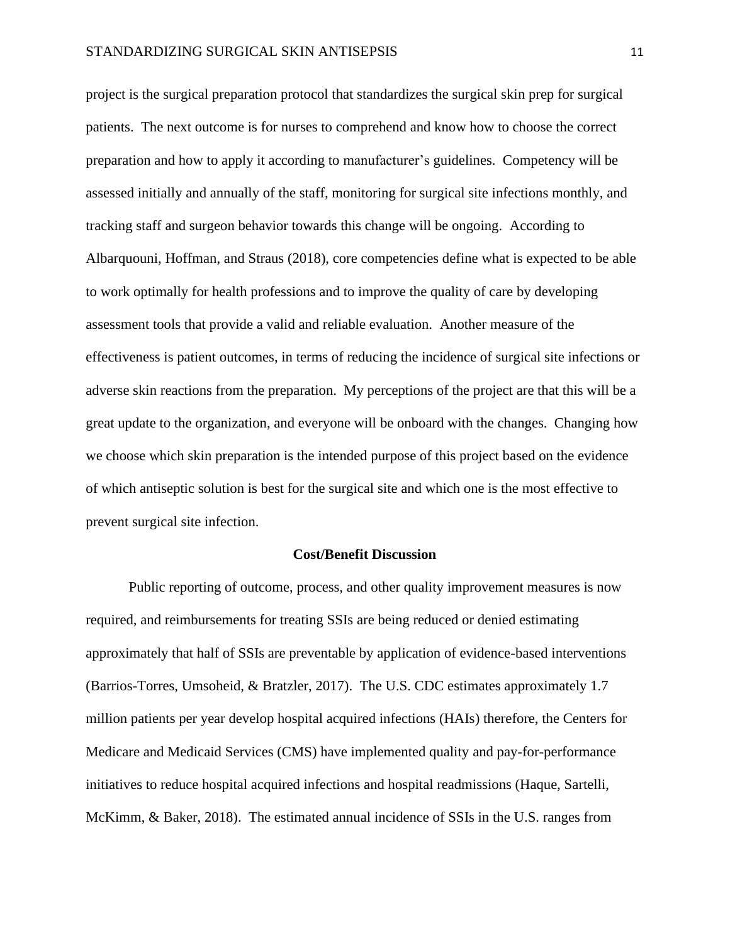project is the surgical preparation protocol that standardizes the surgical skin prep for surgical patients. The next outcome is for nurses to comprehend and know how to choose the correct preparation and how to apply it according to manufacturer's guidelines. Competency will be assessed initially and annually of the staff, monitoring for surgical site infections monthly, and tracking staff and surgeon behavior towards this change will be ongoing. According to Albarquouni, Hoffman, and Straus (2018), core competencies define what is expected to be able to work optimally for health professions and to improve the quality of care by developing assessment tools that provide a valid and reliable evaluation. Another measure of the effectiveness is patient outcomes, in terms of reducing the incidence of surgical site infections or adverse skin reactions from the preparation. My perceptions of the project are that this will be a great update to the organization, and everyone will be onboard with the changes. Changing how we choose which skin preparation is the intended purpose of this project based on the evidence of which antiseptic solution is best for the surgical site and which one is the most effective to prevent surgical site infection.

#### **Cost/Benefit Discussion**

Public reporting of outcome, process, and other quality improvement measures is now required, and reimbursements for treating SSIs are being reduced or denied estimating approximately that half of SSIs are preventable by application of evidence-based interventions (Barrios-Torres, Umsoheid, & Bratzler, 2017). The U.S. CDC estimates approximately 1.7 million patients per year develop hospital acquired infections (HAIs) therefore, the Centers for Medicare and Medicaid Services (CMS) have implemented quality and pay-for-performance initiatives to reduce hospital acquired infections and hospital readmissions (Haque, Sartelli, McKimm, & Baker, 2018). The estimated annual incidence of SSIs in the U.S. ranges from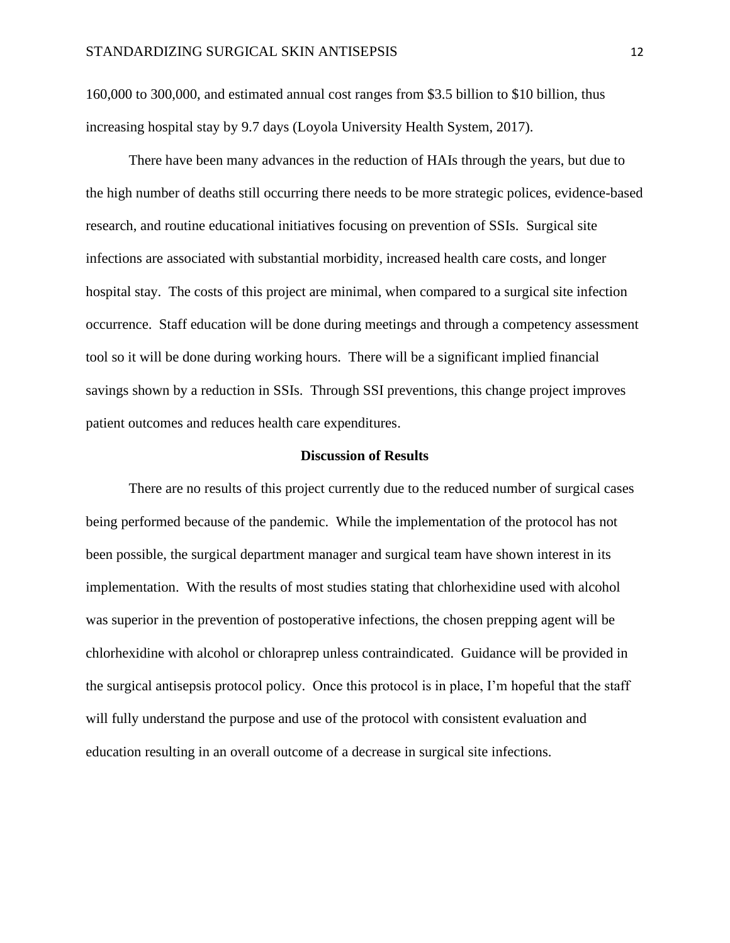160,000 to 300,000, and estimated annual cost ranges from \$3.5 billion to \$10 billion, thus increasing hospital stay by 9.7 days (Loyola University Health System, 2017).

There have been many advances in the reduction of HAIs through the years, but due to the high number of deaths still occurring there needs to be more strategic polices, evidence-based research, and routine educational initiatives focusing on prevention of SSIs. Surgical site infections are associated with substantial morbidity, increased health care costs, and longer hospital stay. The costs of this project are minimal, when compared to a surgical site infection occurrence. Staff education will be done during meetings and through a competency assessment tool so it will be done during working hours. There will be a significant implied financial savings shown by a reduction in SSIs. Through SSI preventions, this change project improves patient outcomes and reduces health care expenditures.

#### **Discussion of Results**

There are no results of this project currently due to the reduced number of surgical cases being performed because of the pandemic. While the implementation of the protocol has not been possible, the surgical department manager and surgical team have shown interest in its implementation. With the results of most studies stating that chlorhexidine used with alcohol was superior in the prevention of postoperative infections, the chosen prepping agent will be chlorhexidine with alcohol or chloraprep unless contraindicated. Guidance will be provided in the surgical antisepsis protocol policy. Once this protocol is in place, I'm hopeful that the staff will fully understand the purpose and use of the protocol with consistent evaluation and education resulting in an overall outcome of a decrease in surgical site infections.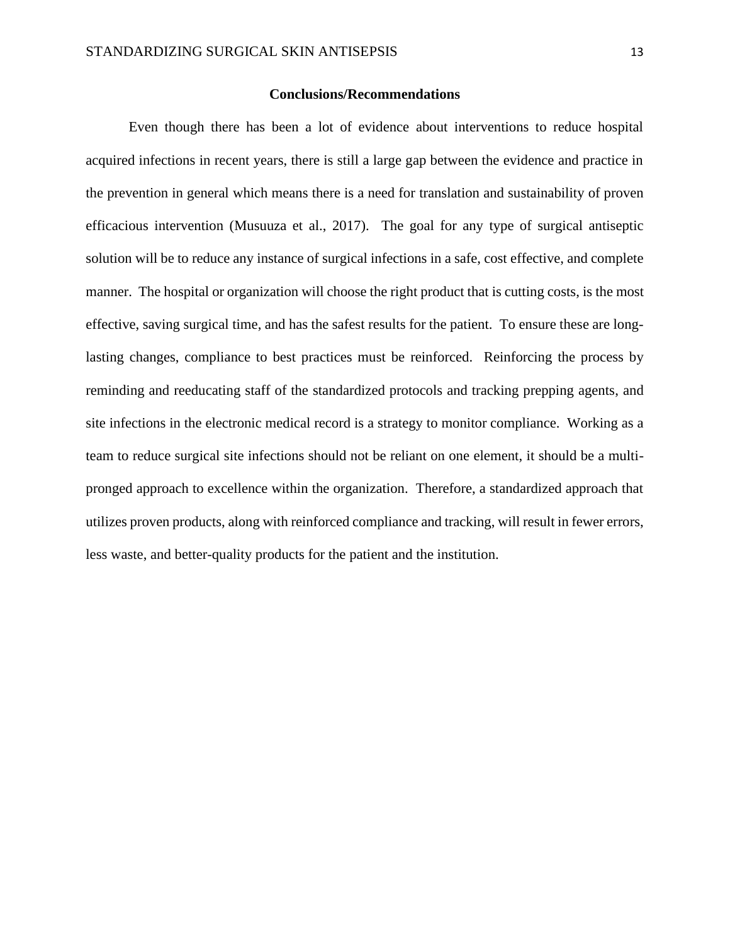#### **Conclusions/Recommendations**

Even though there has been a lot of evidence about interventions to reduce hospital acquired infections in recent years, there is still a large gap between the evidence and practice in the prevention in general which means there is a need for translation and sustainability of proven efficacious intervention (Musuuza et al., 2017). The goal for any type of surgical antiseptic solution will be to reduce any instance of surgical infections in a safe, cost effective, and complete manner. The hospital or organization will choose the right product that is cutting costs, is the most effective, saving surgical time, and has the safest results for the patient. To ensure these are longlasting changes, compliance to best practices must be reinforced. Reinforcing the process by reminding and reeducating staff of the standardized protocols and tracking prepping agents, and site infections in the electronic medical record is a strategy to monitor compliance. Working as a team to reduce surgical site infections should not be reliant on one element, it should be a multipronged approach to excellence within the organization. Therefore, a standardized approach that utilizes proven products, along with reinforced compliance and tracking, will result in fewer errors, less waste, and better-quality products for the patient and the institution.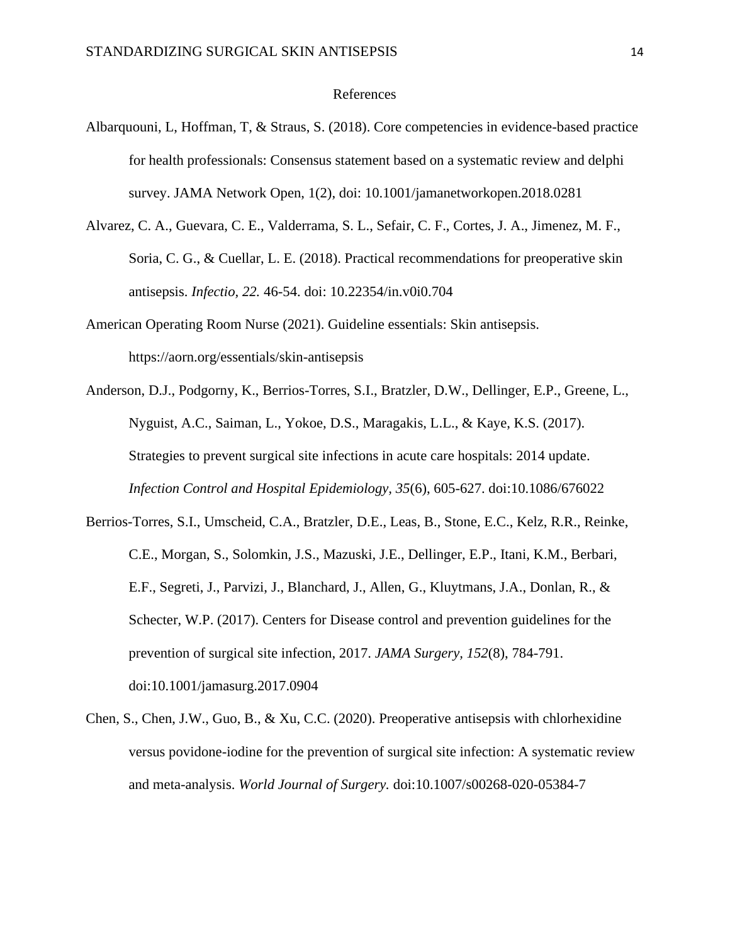#### References

- Albarquouni, L, Hoffman, T, & Straus, S. (2018). Core competencies in evidence-based practice for health professionals: Consensus statement based on a systematic review and delphi survey. JAMA Network Open, 1(2), doi: 10.1001/jamanetworkopen.2018.0281
- Alvarez, C. A., Guevara, C. E., Valderrama, S. L., Sefair, C. F., Cortes, J. A., Jimenez, M. F., Soria, C. G., & Cuellar, L. E. (2018). Practical recommendations for preoperative skin antisepsis. *Infectio, 22.* 46-54. doi: 10.22354/in.v0i0.704
- American Operating Room Nurse (2021). Guideline essentials: Skin antisepsis. https://aorn.org/essentials/skin-antisepsis
- Anderson, D.J., Podgorny, K., Berrios-Torres, S.I., Bratzler, D.W., Dellinger, E.P., Greene, L., Nyguist, A.C., Saiman, L., Yokoe, D.S., Maragakis, L.L., & Kaye, K.S. (2017). Strategies to prevent surgical site infections in acute care hospitals: 2014 update. *Infection Control and Hospital Epidemiology, 35*(6), 605-627. doi:10.1086/676022
- Berrios-Torres, S.I., Umscheid, C.A., Bratzler, D.E., Leas, B., Stone, E.C., Kelz, R.R., Reinke, C.E., Morgan, S., Solomkin, J.S., Mazuski, J.E., Dellinger, E.P., Itani, K.M., Berbari, E.F., Segreti, J., Parvizi, J., Blanchard, J., Allen, G., Kluytmans, J.A., Donlan, R., & Schecter, W.P. (2017). Centers for Disease control and prevention guidelines for the prevention of surgical site infection, 2017. *JAMA Surgery, 152*(8), 784-791. doi:10.1001/jamasurg.2017.0904
- Chen, S., Chen, J.W., Guo, B., & Xu, C.C. (2020). Preoperative antisepsis with chlorhexidine versus povidone-iodine for the prevention of surgical site infection: A systematic review and meta-analysis. *World Journal of Surgery.* doi:10.1007/s00268-020-05384-7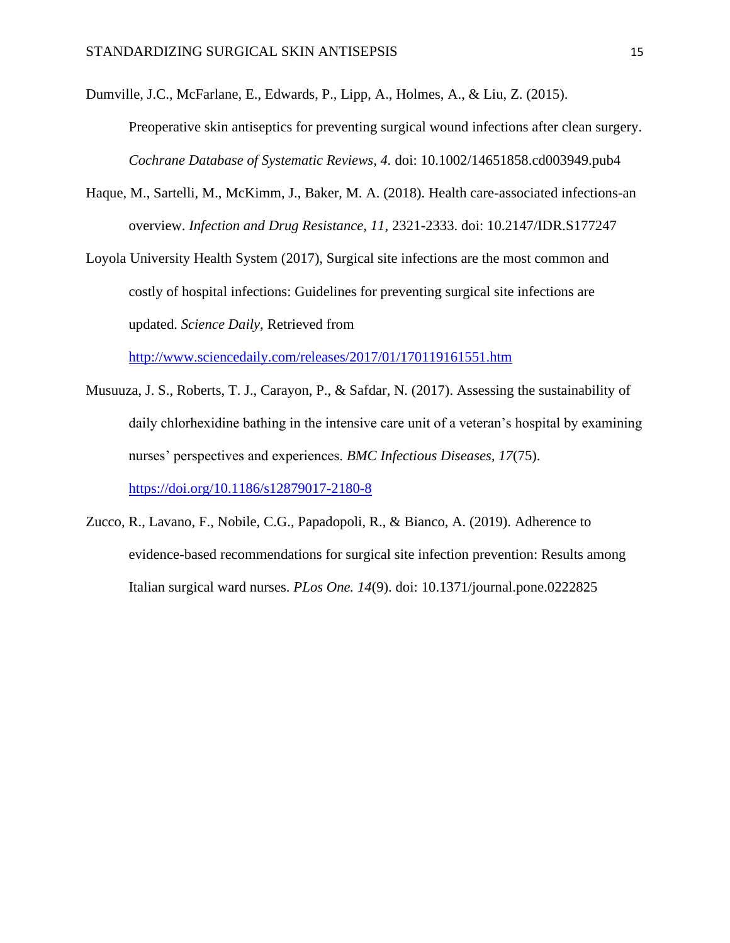Dumville, J.C., McFarlane, E., Edwards, P., Lipp, A., Holmes, A., & Liu, Z. (2015).

Preoperative skin antiseptics for preventing surgical wound infections after clean surgery. *Cochrane Database of Systematic Reviews, 4.* doi: 10.1002/14651858.cd003949.pub4

Haque, M., Sartelli, M., McKimm, J., Baker, M. A. (2018). Health care-associated infections-an overview. *Infection and Drug Resistance, 11*, 2321-2333. doi: 10.2147/IDR.S177247

Loyola University Health System (2017), Surgical site infections are the most common and costly of hospital infections: Guidelines for preventing surgical site infections are updated. *Science Daily,* Retrieved from

<http://www.sciencedaily.com/releases/2017/01/170119161551.htm>

- Musuuza, J. S., Roberts, T. J., Carayon, P., & Safdar, N. (2017). Assessing the sustainability of daily chlorhexidine bathing in the intensive care unit of a veteran's hospital by examining nurses' perspectives and experiences. *BMC Infectious Diseases, 17*(75). <https://doi.org/10.1186/s12879017-2180-8>
- Zucco, R., Lavano, F., Nobile, C.G., Papadopoli, R., & Bianco, A. (2019). Adherence to evidence-based recommendations for surgical site infection prevention: Results among Italian surgical ward nurses. *PLos One. 14*(9). doi: 10.1371/journal.pone.0222825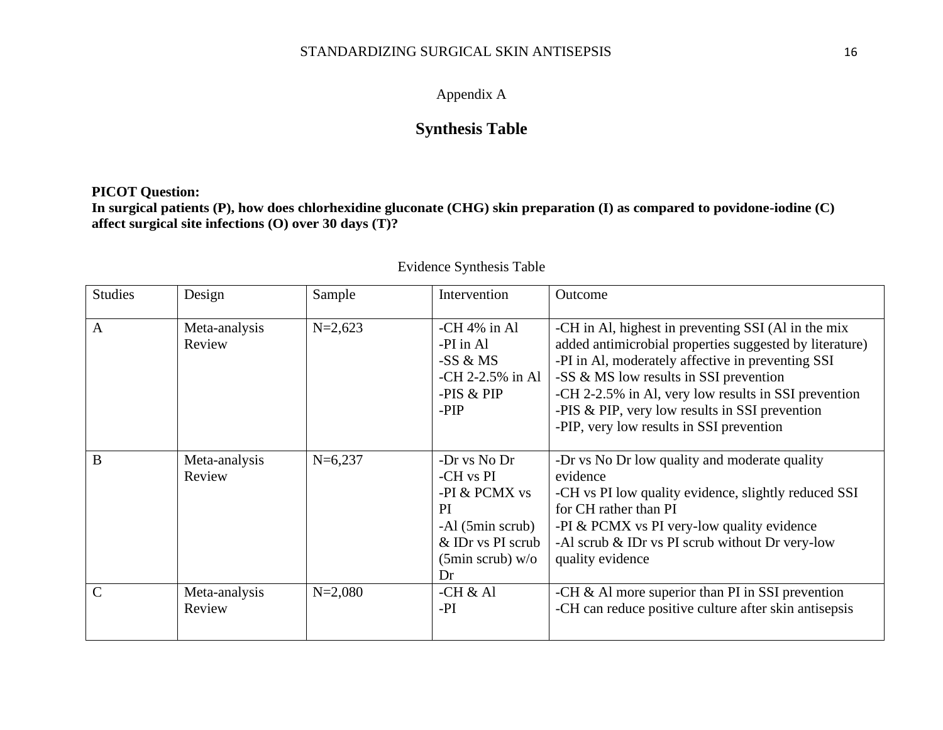## Appendix A

# **Synthesis Table**

## **PICOT Question:**

**In surgical patients (P), how does chlorhexidine gluconate (CHG) skin preparation (I) as compared to povidone-iodine (C) affect surgical site infections (O) over 30 days (T)?**

| <b>Studies</b> | Design                  | Sample      | Intervention                                                                                                                 | Outcome                                                                                                                                                                                                                                                                                                                                                               |
|----------------|-------------------------|-------------|------------------------------------------------------------------------------------------------------------------------------|-----------------------------------------------------------------------------------------------------------------------------------------------------------------------------------------------------------------------------------------------------------------------------------------------------------------------------------------------------------------------|
| $\mathbf{A}$   | Meta-analysis<br>Review | $N=2,623$   | $-CH 4\%$ in Al<br>-PI in Al<br>$-SS & MS$<br>$-CH 2-2.5\%$ in Al<br>$-PIS & PIP$<br>-PIP                                    | -CH in Al, highest in preventing SSI (Al in the mix<br>added antimicrobial properties suggested by literature)<br>-PI in Al, moderately affective in preventing SSI<br>-SS & MS low results in SSI prevention<br>-CH 2-2.5% in Al, very low results in SSI prevention<br>-PIS $&$ PIP, very low results in SSI prevention<br>-PIP, very low results in SSI prevention |
| B              | Meta-analysis<br>Review | $N=6,237$   | -Dr vs No Dr<br>-CH vs PI<br>-PI & PCMX vs<br>PI<br>-Al (5min scrub)<br>& IDr vs PI scrub<br>$(5\text{min}$ scrub) w/o<br>Dr | -Dr vs No Dr low quality and moderate quality<br>evidence<br>-CH vs PI low quality evidence, slightly reduced SSI<br>for CH rather than PI<br>-PI & PCMX vs PI very-low quality evidence<br>-Al scrub $\&$ IDr vs PI scrub without Dr very-low<br>quality evidence                                                                                                    |
| $\mathcal{C}$  | Meta-analysis<br>Review | $N = 2,080$ | -CH $&$ Al<br>$-PI$                                                                                                          | -CH $\&$ Al more superior than PI in SSI prevention<br>-CH can reduce positive culture after skin antisepsis                                                                                                                                                                                                                                                          |

## Evidence Synthesis Table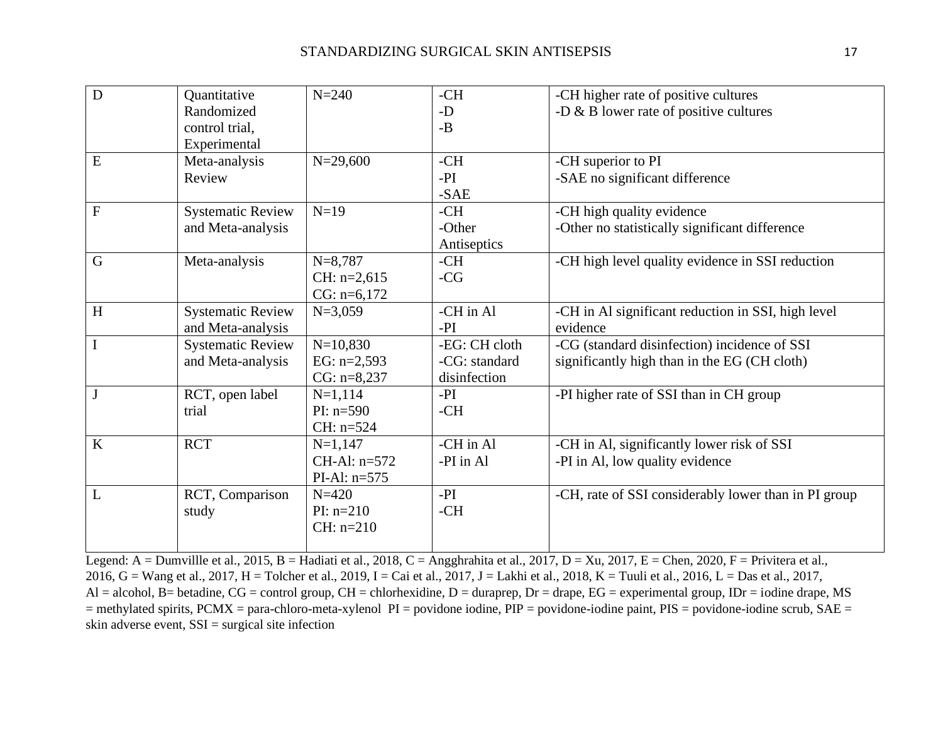| D              | Quantitative             | $N = 240$      | $-CH$         | -CH higher rate of positive cultures                 |
|----------------|--------------------------|----------------|---------------|------------------------------------------------------|
|                | Randomized               |                | $-D$          | -D $\&$ B lower rate of positive cultures            |
|                | control trial,           |                | $-B$          |                                                      |
|                | Experimental             |                |               |                                                      |
| ${\bf E}$      | Meta-analysis            | $N = 29,600$   | $-CH$         | -CH superior to PI                                   |
|                | Review                   |                | $-PI$         | -SAE no significant difference                       |
|                |                          |                | $-SAE$        |                                                      |
| $\overline{F}$ | <b>Systematic Review</b> | $N=19$         | $-CH$         | -CH high quality evidence                            |
|                | and Meta-analysis        |                | -Other        | -Other no statistically significant difference       |
|                |                          |                | Antiseptics   |                                                      |
| $\mathbf G$    | Meta-analysis            | $N = 8,787$    | $-CH$         | -CH high level quality evidence in SSI reduction     |
|                |                          | $CH: n=2,615$  | $-CG$         |                                                      |
|                |                          | $CG: n=6,172$  |               |                                                      |
| H              | <b>Systematic Review</b> | $N=3,059$      | -CH in Al     | -CH in Al significant reduction in SSI, high level   |
|                | and Meta-analysis        |                | $-PI$         | evidence                                             |
| $\mathbf I$    | <b>Systematic Review</b> | $N=10,830$     | -EG: CH cloth | -CG (standard disinfection) incidence of SSI         |
|                | and Meta-analysis        | EG: $n=2,593$  | -CG: standard | significantly high than in the EG (CH cloth)         |
|                |                          | $CG: n=8,237$  | disinfection  |                                                      |
| $\mathbf{J}$   | RCT, open label          | $N=1,114$      | $-PI$         | -PI higher rate of SSI than in CH group              |
|                | trial                    | $PI: n=590$    | $-CH$         |                                                      |
|                |                          | $CH: n=524$    |               |                                                      |
| K              | <b>RCT</b>               | $N=1,147$      | -CH in Al     | -CH in Al, significantly lower risk of SSI           |
|                |                          | CH-Al: $n=572$ | -PI in Al     | -PI in Al, low quality evidence                      |
|                |                          | PI-Al: $n=575$ |               |                                                      |
| L              | RCT, Comparison          | $N = 420$      | $-PI$         | -CH, rate of SSI considerably lower than in PI group |
|                | study                    | $PI: n=210$    | $-CH$         |                                                      |
|                |                          | $CH: n=210$    |               |                                                      |
|                |                          |                |               |                                                      |

Legend: A = Dumvillle et al., 2015, B = Hadiati et al., 2018, C = Angghrahita et al., 2017, D = Xu, 2017, E = Chen, 2020, F = Privitera et al., 2016, G = Wang et al., 2017, H = Tolcher et al., 2019, I = Cai et al., 2017, J = Lakhi et al., 2018, K = Tuuli et al., 2016, L = Das et al., 2017, Al = alcohol, B= betadine, CG = control group, CH = chlorhexidine, D = duraprep, Dr = drape, EG = experimental group, IDr = iodine drape, MS = methylated spirits, PCMX = para-chloro-meta-xylenol PI = povidone iodine, PIP = povidone-iodine paint, PIS = povidone-iodine scrub, SAE = skin adverse event, SSI = surgical site infection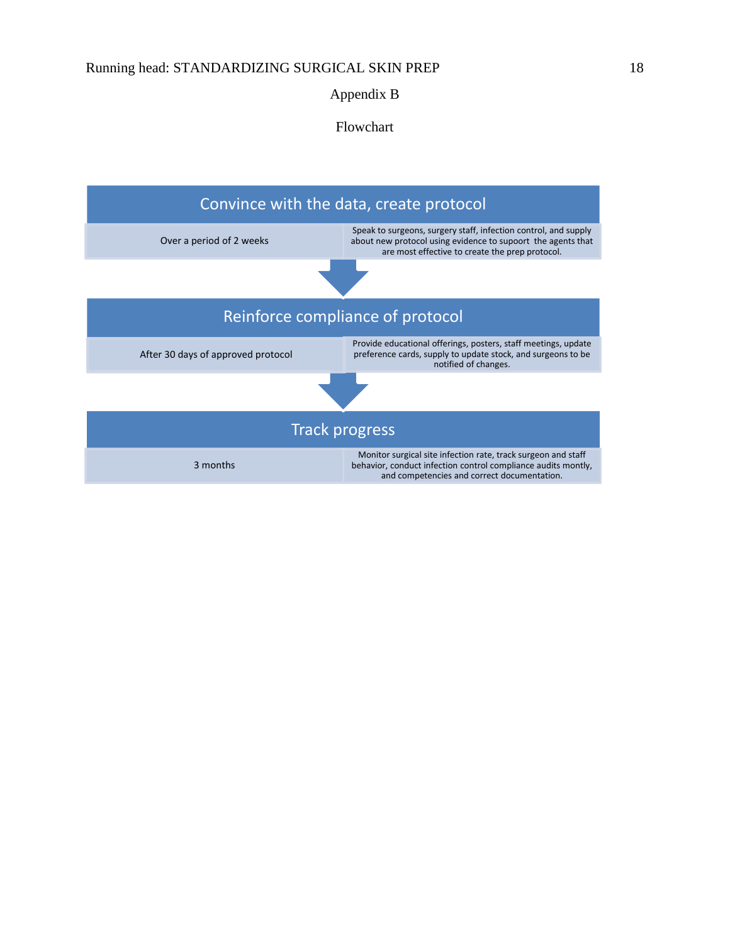### Appendix B

Flowchart

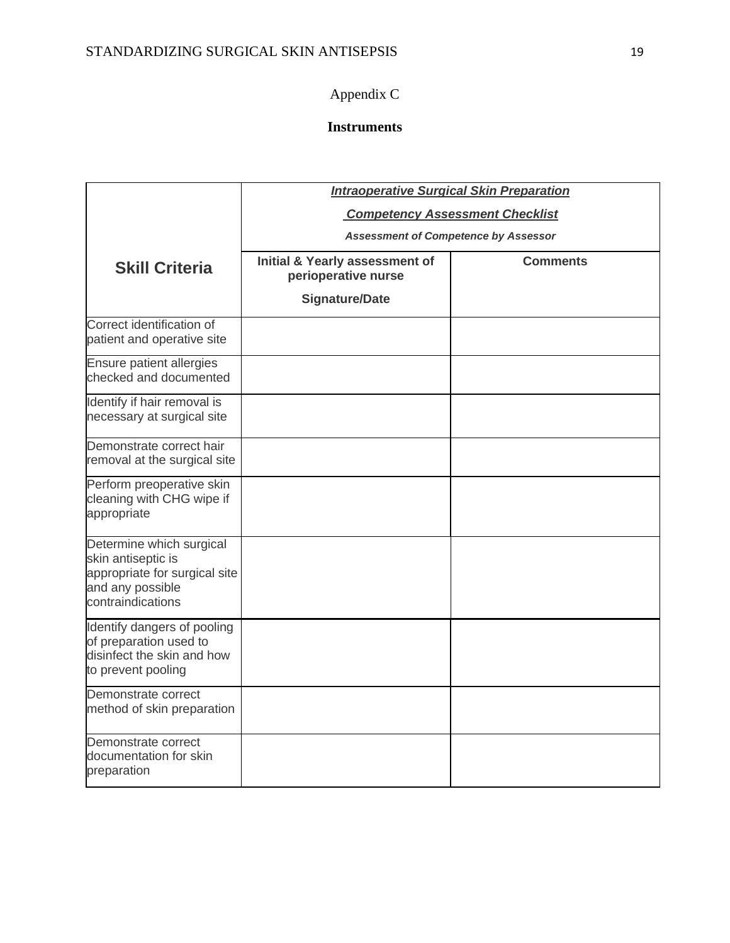# Appendix C

# **Instruments**

|                                                                                                                          | <b>Intraoperative Surgical Skin Preparation</b>       |                 |  |  |  |  |
|--------------------------------------------------------------------------------------------------------------------------|-------------------------------------------------------|-----------------|--|--|--|--|
|                                                                                                                          | <b>Competency Assessment Checklist</b>                |                 |  |  |  |  |
|                                                                                                                          | <b>Assessment of Competence by Assessor</b>           |                 |  |  |  |  |
| <b>Skill Criteria</b>                                                                                                    | Initial & Yearly assessment of<br>perioperative nurse | <b>Comments</b> |  |  |  |  |
|                                                                                                                          | <b>Signature/Date</b>                                 |                 |  |  |  |  |
| Correct identification of<br>patient and operative site                                                                  |                                                       |                 |  |  |  |  |
| Ensure patient allergies<br>checked and documented                                                                       |                                                       |                 |  |  |  |  |
| Identify if hair removal is<br>necessary at surgical site                                                                |                                                       |                 |  |  |  |  |
| Demonstrate correct hair<br>removal at the surgical site                                                                 |                                                       |                 |  |  |  |  |
| Perform preoperative skin<br>cleaning with CHG wipe if<br>appropriate                                                    |                                                       |                 |  |  |  |  |
| Determine which surgical<br>skin antiseptic is<br>appropriate for surgical site<br>and any possible<br>contraindications |                                                       |                 |  |  |  |  |
| Identify dangers of pooling<br>of preparation used to<br>disinfect the skin and how<br>to prevent pooling                |                                                       |                 |  |  |  |  |
| Demonstrate correct<br>method of skin preparation                                                                        |                                                       |                 |  |  |  |  |
| Demonstrate correct<br>documentation for skin<br>preparation                                                             |                                                       |                 |  |  |  |  |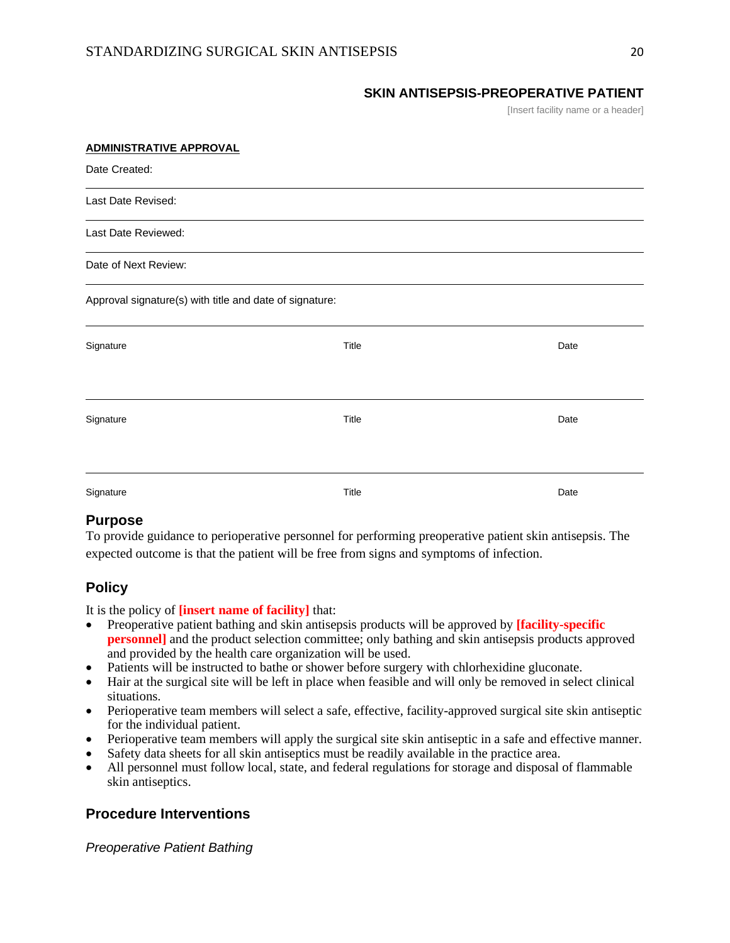#### **SKIN ANTISEPSIS-PREOPERATIVE PATIENT**

[Insert facility name or a header]

| <b>ADMINISTRATIVE APPROVAL</b>                          |       |      |  |  |  |
|---------------------------------------------------------|-------|------|--|--|--|
| Date Created:                                           |       |      |  |  |  |
| Last Date Revised:                                      |       |      |  |  |  |
| Last Date Reviewed:                                     |       |      |  |  |  |
| Date of Next Review:                                    |       |      |  |  |  |
| Approval signature(s) with title and date of signature: |       |      |  |  |  |
| Signature                                               | Title | Date |  |  |  |
| Signature                                               | Title | Date |  |  |  |
| Signature                                               | Title | Date |  |  |  |

### **Purpose**

To provide guidance to perioperative personnel for performing preoperative patient skin antisepsis. The expected outcome is that the patient will be free from signs and symptoms of infection.

## **Policy**

It is the policy of **[insert name of facility]** that:

- Preoperative patient bathing and skin antisepsis products will be approved by **[facility-specific personnel]** and the product selection committee; only bathing and skin antisepsis products approved and provided by the health care organization will be used.
- Patients will be instructed to bathe or shower before surgery with chlorhexidine gluconate.
- Hair at the surgical site will be left in place when feasible and will only be removed in select clinical situations.
- Perioperative team members will select a safe, effective, facility-approved surgical site skin antiseptic for the individual patient.
- Perioperative team members will apply the surgical site skin antiseptic in a safe and effective manner.
- Safety data sheets for all skin antiseptics must be readily available in the practice area.
- All personnel must follow local, state, and federal regulations for storage and disposal of flammable skin antiseptics.

## **Procedure Interventions**

*Preoperative Patient Bathing*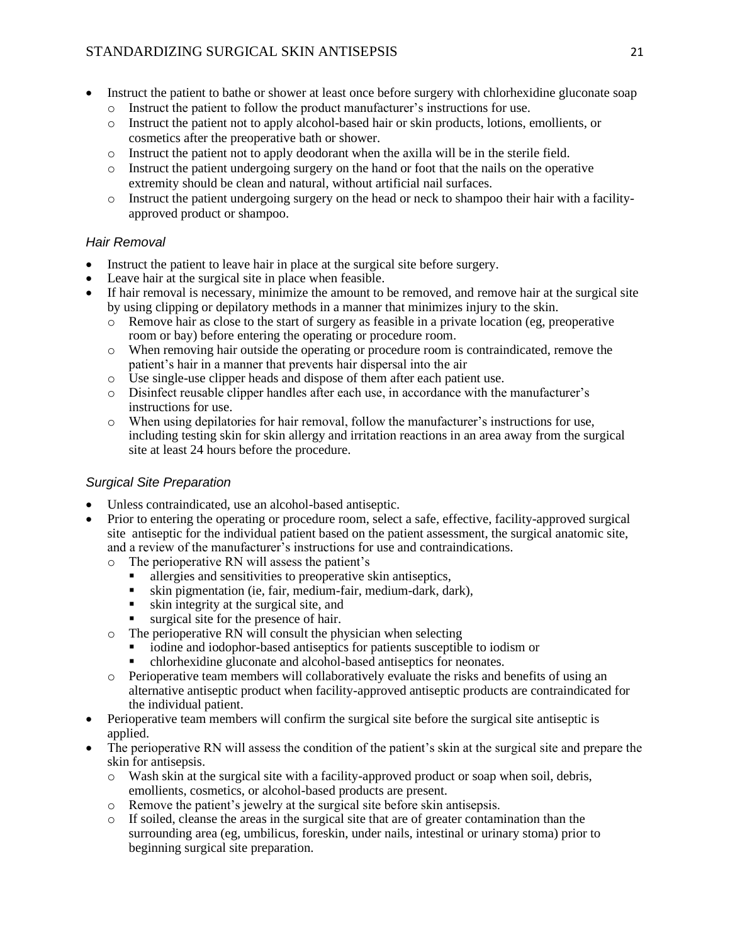## STANDARDIZING SURGICAL SKIN ANTISEPSIS 21

- Instruct the patient to bathe or shower at least once before surgery with chlorhexidine gluconate soap
	- o Instruct the patient to follow the product manufacturer's instructions for use.
	- o Instruct the patient not to apply alcohol-based hair or skin products, lotions, emollients, or cosmetics after the preoperative bath or shower.
	- o Instruct the patient not to apply deodorant when the axilla will be in the sterile field.
	- o Instruct the patient undergoing surgery on the hand or foot that the nails on the operative extremity should be clean and natural, without artificial nail surfaces.
	- o Instruct the patient undergoing surgery on the head or neck to shampoo their hair with a facilityapproved product or shampoo.

### *Hair Removal*

- Instruct the patient to leave hair in place at the surgical site before surgery.
- Leave hair at the surgical site in place when feasible.
- If hair removal is necessary, minimize the amount to be removed, and remove hair at the surgical site by using clipping or depilatory methods in a manner that minimizes injury to the skin.
	- o Remove hair as close to the start of surgery as feasible in a private location (eg, preoperative room or bay) before entering the operating or procedure room.
	- o When removing hair outside the operating or procedure room is contraindicated, remove the patient's hair in a manner that prevents hair dispersal into the air
	- o Use single-use clipper heads and dispose of them after each patient use.
	- o Disinfect reusable clipper handles after each use, in accordance with the manufacturer's instructions for use.
	- o When using depilatories for hair removal, follow the manufacturer's instructions for use, including testing skin for skin allergy and irritation reactions in an area away from the surgical site at least 24 hours before the procedure.

### *Surgical Site Preparation*

- Unless contraindicated, use an alcohol-based antiseptic.
- Prior to entering the operating or procedure room, select a safe, effective, facility-approved surgical site antiseptic for the individual patient based on the patient assessment, the surgical anatomic site, and a review of the manufacturer's instructions for use and contraindications.
	- o The perioperative RN will assess the patient's
		- allergies and sensitivities to preoperative skin antiseptics,
		- skin pigmentation (ie, fair, medium-fair, medium-dark, dark),
		- skin integrity at the surgical site, and
		- surgical site for the presence of hair.
	- o The perioperative RN will consult the physician when selecting
		- iodine and iodophor-based antiseptics for patients susceptible to iodism or
		- chlorhexidine gluconate and alcohol-based antiseptics for neonates.
	- o Perioperative team members will collaboratively evaluate the risks and benefits of using an alternative antiseptic product when facility-approved antiseptic products are contraindicated for the individual patient.
- Perioperative team members will confirm the surgical site before the surgical site antiseptic is applied.
- The perioperative RN will assess the condition of the patient's skin at the surgical site and prepare the skin for antisepsis.
	- o Wash skin at the surgical site with a facility-approved product or soap when soil, debris, emollients, cosmetics, or alcohol-based products are present.
	- o Remove the patient's jewelry at the surgical site before skin antisepsis.
	- o If soiled, cleanse the areas in the surgical site that are of greater contamination than the surrounding area (eg, umbilicus, foreskin, under nails, intestinal or urinary stoma) prior to beginning surgical site preparation.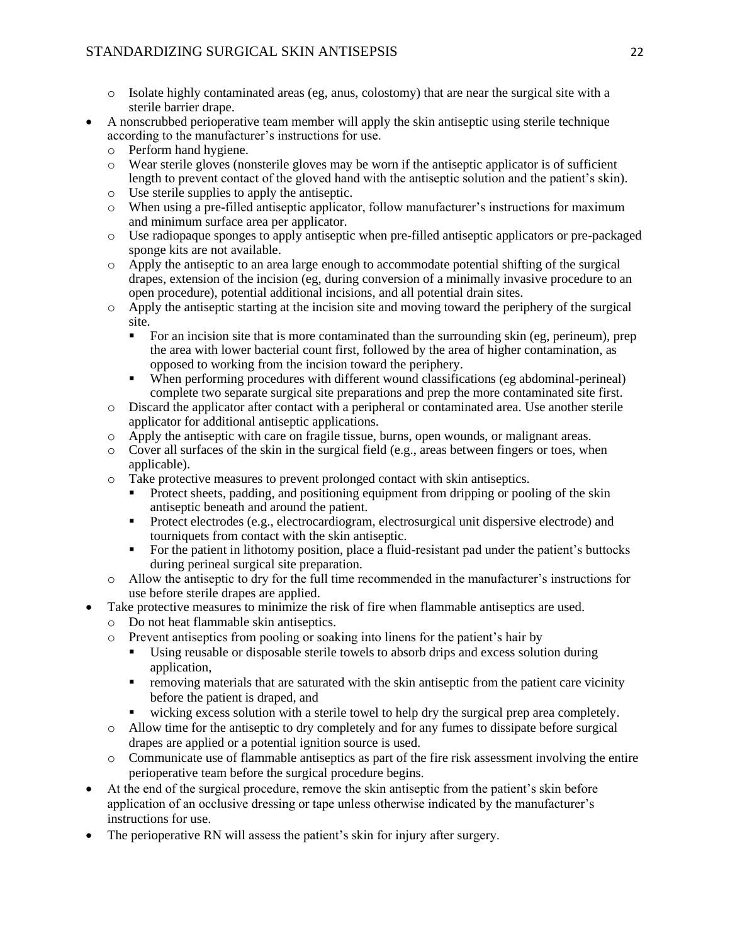- o Isolate highly contaminated areas (eg, anus, colostomy) that are near the surgical site with a sterile barrier drape.
- A nonscrubbed perioperative team member will apply the skin antiseptic using sterile technique according to the manufacturer's instructions for use.
	- o Perform hand hygiene.
	- o Wear sterile gloves (nonsterile gloves may be worn if the antiseptic applicator is of sufficient length to prevent contact of the gloved hand with the antiseptic solution and the patient's skin).
	- o Use sterile supplies to apply the antiseptic.
	- o When using a pre-filled antiseptic applicator, follow manufacturer's instructions for maximum and minimum surface area per applicator.
	- o Use radiopaque sponges to apply antiseptic when pre-filled antiseptic applicators or pre-packaged sponge kits are not available.
	- o Apply the antiseptic to an area large enough to accommodate potential shifting of the surgical drapes, extension of the incision (eg, during conversion of a minimally invasive procedure to an open procedure), potential additional incisions, and all potential drain sites.
	- o Apply the antiseptic starting at the incision site and moving toward the periphery of the surgical site.
		- For an incision site that is more contaminated than the surrounding skin (eg, perineum), prep the area with lower bacterial count first, followed by the area of higher contamination, as opposed to working from the incision toward the periphery.
		- When performing procedures with different wound classifications (eg abdominal-perineal) complete two separate surgical site preparations and prep the more contaminated site first.
	- o Discard the applicator after contact with a peripheral or contaminated area. Use another sterile applicator for additional antiseptic applications.
	- o Apply the antiseptic with care on fragile tissue, burns, open wounds, or malignant areas.
	- $\circ$  Cover all surfaces of the skin in the surgical field (e.g., areas between fingers or toes, when applicable).
	- o Take protective measures to prevent prolonged contact with skin antiseptics.
		- Protect sheets, padding, and positioning equipment from dripping or pooling of the skin antiseptic beneath and around the patient.
		- **•** Protect electrodes (e.g., electrocardiogram, electrosurgical unit dispersive electrode) and tourniquets from contact with the skin antiseptic.
		- For the patient in lithotomy position, place a fluid-resistant pad under the patient's buttocks during perineal surgical site preparation.
	- o Allow the antiseptic to dry for the full time recommended in the manufacturer's instructions for use before sterile drapes are applied.
- Take protective measures to minimize the risk of fire when flammable antiseptics are used.
	- o Do not heat flammable skin antiseptics.
	- o Prevent antiseptics from pooling or soaking into linens for the patient's hair by
		- Using reusable or disposable sterile towels to absorb drips and excess solution during application,
		- **•** removing materials that are saturated with the skin antiseptic from the patient care vicinity before the patient is draped, and
		- wicking excess solution with a sterile towel to help dry the surgical prep area completely.
	- o Allow time for the antiseptic to dry completely and for any fumes to dissipate before surgical drapes are applied or a potential ignition source is used.
	- o Communicate use of flammable antiseptics as part of the fire risk assessment involving the entire perioperative team before the surgical procedure begins.
- At the end of the surgical procedure, remove the skin antiseptic from the patient's skin before application of an occlusive dressing or tape unless otherwise indicated by the manufacturer's instructions for use.
- The perioperative RN will assess the patient's skin for injury after surgery.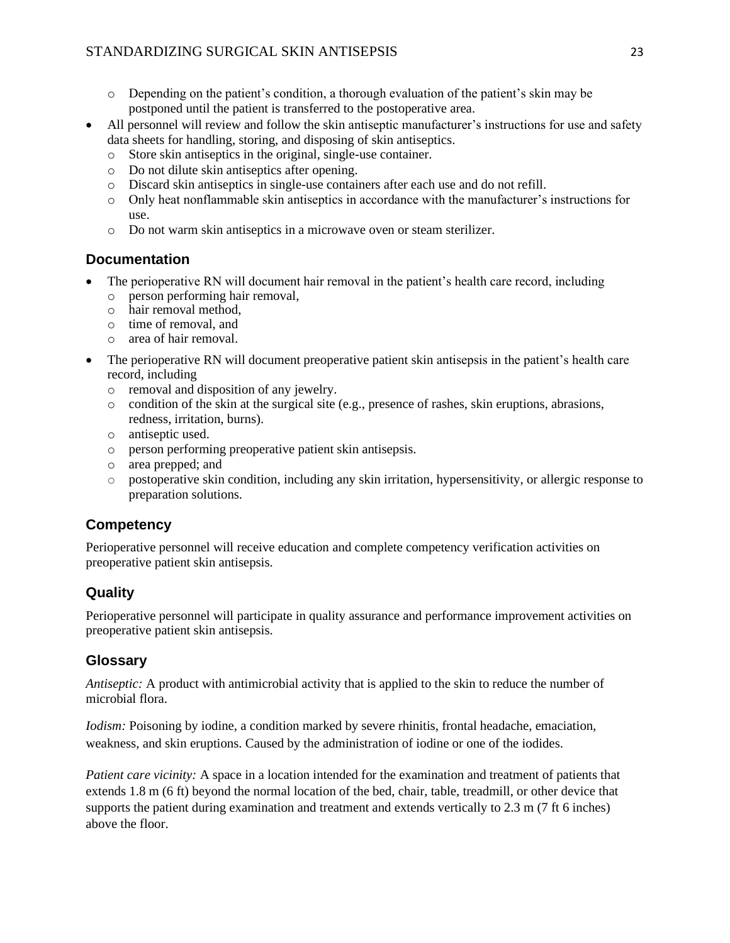- $\circ$  Depending on the patient's condition, a thorough evaluation of the patient's skin may be postponed until the patient is transferred to the postoperative area.
- All personnel will review and follow the skin antiseptic manufacturer's instructions for use and safety data sheets for handling, storing, and disposing of skin antiseptics.
	- o Store skin antiseptics in the original, single-use container.
	- o Do not dilute skin antiseptics after opening.
	- o Discard skin antiseptics in single-use containers after each use and do not refill.
	- o Only heat nonflammable skin antiseptics in accordance with the manufacturer's instructions for use.
	- o Do not warm skin antiseptics in a microwave oven or steam sterilizer.

## **Documentation**

- The perioperative RN will document hair removal in the patient's health care record, including
	- o person performing hair removal,
	- o hair removal method,
	- o time of removal, and
	- o area of hair removal.
- The perioperative RN will document preoperative patient skin antisepsis in the patient's health care record, including
	- o removal and disposition of any jewelry.
	- $\circ$  condition of the skin at the surgical site (e.g., presence of rashes, skin eruptions, abrasions, redness, irritation, burns).
	- o antiseptic used.
	- o person performing preoperative patient skin antisepsis.
	- o area prepped; and
	- o postoperative skin condition, including any skin irritation, hypersensitivity, or allergic response to preparation solutions.

## **Competency**

Perioperative personnel will receive education and complete competency verification activities on preoperative patient skin antisepsis.

# **Quality**

Perioperative personnel will participate in quality assurance and performance improvement activities on preoperative patient skin antisepsis.

## **Glossary**

*Antiseptic:* A product with antimicrobial activity that is applied to the skin to reduce the number of microbial flora.

*Iodism:* Poisoning by iodine, a condition marked by severe rhinitis, frontal headache, emaciation, weakness, and skin eruptions. Caused by the administration of iodine or one of the iodides.

*Patient care vicinity:* A space in a location intended for the examination and treatment of patients that extends 1.8 m (6 ft) beyond the normal location of the bed, chair, table, treadmill, or other device that supports the patient during examination and treatment and extends vertically to 2.3 m (7 ft 6 inches) above the floor.